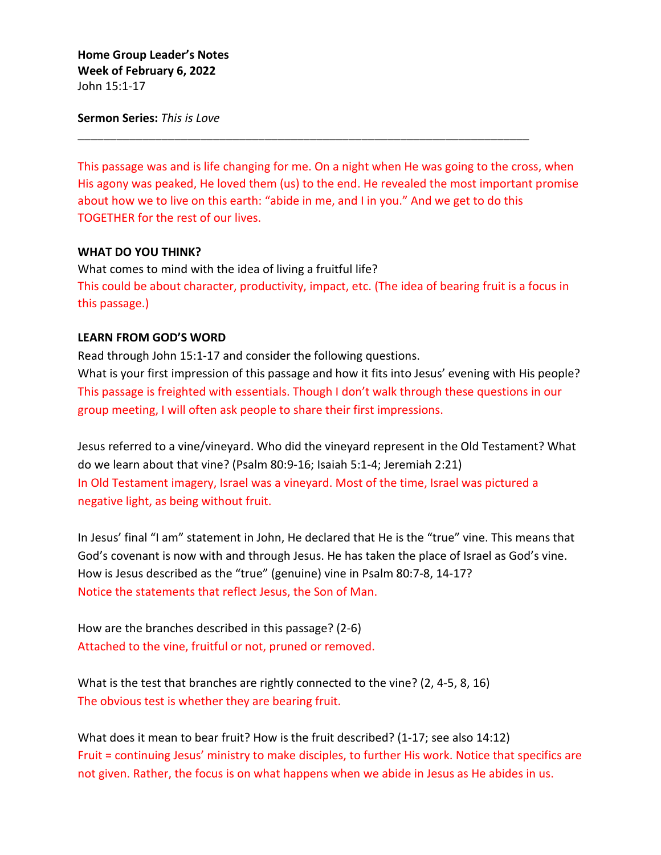**Home Group Leader's Notes Week of February 6, 2022** John 15:1-17

**Sermon Series:** *This is Love*

This passage was and is life changing for me. On a night when He was going to the cross, when His agony was peaked, He loved them (us) to the end. He revealed the most important promise about how we to live on this earth: "abide in me, and I in you." And we get to do this TOGETHER for the rest of our lives.

\_\_\_\_\_\_\_\_\_\_\_\_\_\_\_\_\_\_\_\_\_\_\_\_\_\_\_\_\_\_\_\_\_\_\_\_\_\_\_\_\_\_\_\_\_\_\_\_\_\_\_\_\_\_\_\_\_\_\_\_\_\_\_\_\_\_\_\_\_\_

## **WHAT DO YOU THINK?**

What comes to mind with the idea of living a fruitful life? This could be about character, productivity, impact, etc. (The idea of bearing fruit is a focus in this passage.)

## **LEARN FROM GOD'S WORD**

Read through John 15:1-17 and consider the following questions.

What is your first impression of this passage and how it fits into Jesus' evening with His people? This passage is freighted with essentials. Though I don't walk through these questions in our group meeting, I will often ask people to share their first impressions.

Jesus referred to a vine/vineyard. Who did the vineyard represent in the Old Testament? What do we learn about that vine? (Psalm 80:9-16; Isaiah 5:1-4; Jeremiah 2:21) In Old Testament imagery, Israel was a vineyard. Most of the time, Israel was pictured a negative light, as being without fruit.

In Jesus' final "I am" statement in John, He declared that He is the "true" vine. This means that God's covenant is now with and through Jesus. He has taken the place of Israel as God's vine. How is Jesus described as the "true" (genuine) vine in Psalm 80:7-8, 14-17? Notice the statements that reflect Jesus, the Son of Man.

How are the branches described in this passage? (2-6) Attached to the vine, fruitful or not, pruned or removed.

What is the test that branches are rightly connected to the vine? (2, 4-5, 8, 16) The obvious test is whether they are bearing fruit.

What does it mean to bear fruit? How is the fruit described? (1-17; see also 14:12) Fruit = continuing Jesus' ministry to make disciples, to further His work. Notice that specifics are not given. Rather, the focus is on what happens when we abide in Jesus as He abides in us.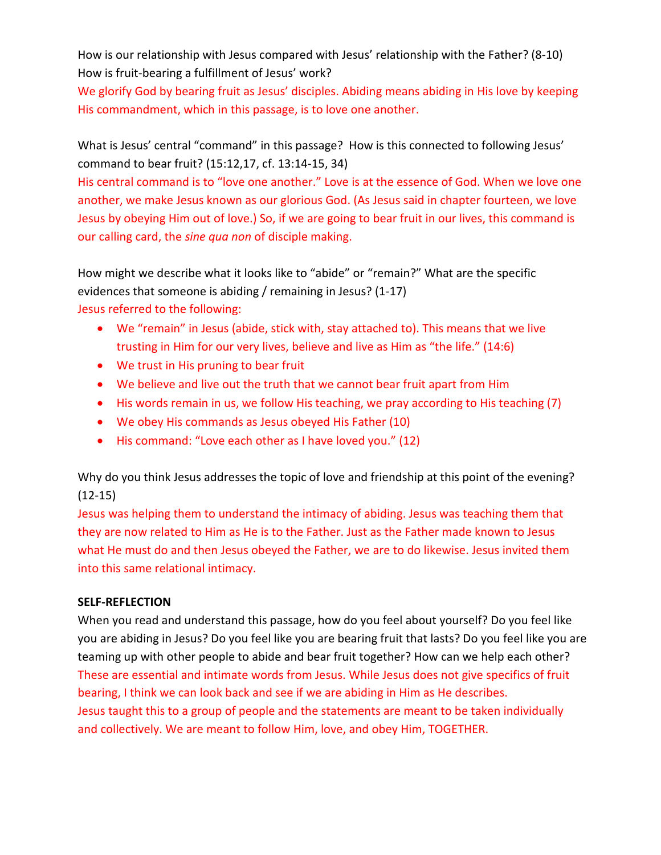How is our relationship with Jesus compared with Jesus' relationship with the Father? (8-10) How is fruit-bearing a fulfillment of Jesus' work?

We glorify God by bearing fruit as Jesus' disciples. Abiding means abiding in His love by keeping His commandment, which in this passage, is to love one another.

What is Jesus' central "command" in this passage? How is this connected to following Jesus' command to bear fruit? (15:12,17, cf. 13:14-15, 34)

His central command is to "love one another." Love is at the essence of God. When we love one another, we make Jesus known as our glorious God. (As Jesus said in chapter fourteen, we love Jesus by obeying Him out of love.) So, if we are going to bear fruit in our lives, this command is our calling card, the *sine qua non* of disciple making.

How might we describe what it looks like to "abide" or "remain?" What are the specific evidences that someone is abiding / remaining in Jesus? (1-17) Jesus referred to the following:

- We "remain" in Jesus (abide, stick with, stay attached to). This means that we live trusting in Him for our very lives, believe and live as Him as "the life." (14:6)
- We trust in His pruning to bear fruit
- We believe and live out the truth that we cannot bear fruit apart from Him
- His words remain in us, we follow His teaching, we pray according to His teaching (7)
- We obey His commands as Jesus obeyed His Father (10)
- His command: "Love each other as I have loved you." (12)

Why do you think Jesus addresses the topic of love and friendship at this point of the evening? (12-15)

Jesus was helping them to understand the intimacy of abiding. Jesus was teaching them that they are now related to Him as He is to the Father. Just as the Father made known to Jesus what He must do and then Jesus obeyed the Father, we are to do likewise. Jesus invited them into this same relational intimacy.

## **SELF-REFLECTION**

When you read and understand this passage, how do you feel about yourself? Do you feel like you are abiding in Jesus? Do you feel like you are bearing fruit that lasts? Do you feel like you are teaming up with other people to abide and bear fruit together? How can we help each other? These are essential and intimate words from Jesus. While Jesus does not give specifics of fruit bearing, I think we can look back and see if we are abiding in Him as He describes. Jesus taught this to a group of people and the statements are meant to be taken individually and collectively. We are meant to follow Him, love, and obey Him, TOGETHER.